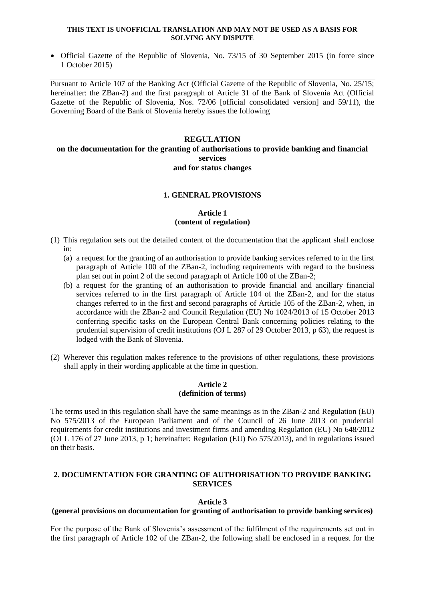#### **THIS TEXT IS UNOFFICIAL TRANSLATION AND MAY NOT BE USED AS A BASIS FOR SOLVING ANY DISPUTE**

• Official Gazette of the Republic of Slovenia, No. 73/15 of 30 September 2015 (in force since 1 October 2015)

Pursuant to Article 107 of the Banking Act (Official Gazette of the Republic of Slovenia, No. 25/15; hereinafter: the ZBan-2) and the first paragraph of Article 31 of the Bank of Slovenia Act (Official Gazette of the Republic of Slovenia, Nos. 72/06 [official consolidated version] and 59/11), the Governing Board of the Bank of Slovenia hereby issues the following

## **REGULATION**

### **on the documentation for the granting of authorisations to provide banking and financial services and for status changes**

### **1. GENERAL PROVISIONS**

#### **Article 1 (content of regulation)**

- (1) This regulation sets out the detailed content of the documentation that the applicant shall enclose in:
	- (a) a request for the granting of an authorisation to provide banking services referred to in the first paragraph of Article 100 of the ZBan-2, including requirements with regard to the business plan set out in point 2 of the second paragraph of Article 100 of the ZBan-2;
	- (b) a request for the granting of an authorisation to provide financial and ancillary financial services referred to in the first paragraph of Article 104 of the ZBan-2, and for the status changes referred to in the first and second paragraphs of Article 105 of the ZBan-2, when, in accordance with the ZBan-2 and Council Regulation (EU) No 1024/2013 of 15 October 2013 conferring specific tasks on the European Central Bank concerning policies relating to the prudential supervision of credit institutions (OJ L 287 of 29 October 2013, p 63), the request is lodged with the Bank of Slovenia.
- (2) Wherever this regulation makes reference to the provisions of other regulations, these provisions shall apply in their wording applicable at the time in question.

#### **Article 2 (definition of terms)**

The terms used in this regulation shall have the same meanings as in the ZBan-2 and Regulation (EU) No 575/2013 of the European Parliament and of the Council of 26 June 2013 on prudential requirements for credit institutions and investment firms and amending Regulation (EU) No 648/2012 (OJ L 176 of 27 June 2013, p 1; hereinafter: Regulation (EU) No 575/2013), and in regulations issued on their basis.

## **2. DOCUMENTATION FOR GRANTING OF AUTHORISATION TO PROVIDE BANKING SERVICES**

# **Article 3**

## **(general provisions on documentation for granting of authorisation to provide banking services)**

For the purpose of the Bank of Slovenia's assessment of the fulfilment of the requirements set out in the first paragraph of Article 102 of the ZBan-2, the following shall be enclosed in a request for the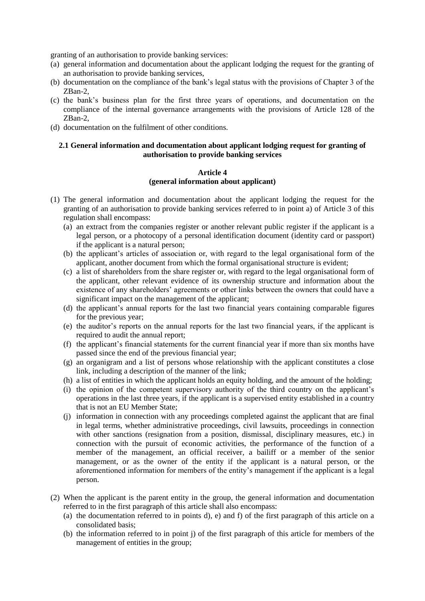granting of an authorisation to provide banking services:

- (a) general information and documentation about the applicant lodging the request for the granting of an authorisation to provide banking services,
- (b) documentation on the compliance of the bank's legal status with the provisions of Chapter 3 of the ZBan-2,
- (c) the bank's business plan for the first three years of operations, and documentation on the compliance of the internal governance arrangements with the provisions of Article 128 of the ZBan-2,
- (d) documentation on the fulfilment of other conditions.

#### **2.1 General information and documentation about applicant lodging request for granting of authorisation to provide banking services**

#### **Article 4 (general information about applicant)**

- (1) The general information and documentation about the applicant lodging the request for the granting of an authorisation to provide banking services referred to in point a) of Article 3 of this regulation shall encompass:
	- (a) an extract from the companies register or another relevant public register if the applicant is a legal person, or a photocopy of a personal identification document (identity card or passport) if the applicant is a natural person;
	- (b) the applicant's articles of association or, with regard to the legal organisational form of the applicant, another document from which the formal organisational structure is evident;
	- (c) a list of shareholders from the share register or, with regard to the legal organisational form of the applicant, other relevant evidence of its ownership structure and information about the existence of any shareholders' agreements or other links between the owners that could have a significant impact on the management of the applicant;
	- (d) the applicant's annual reports for the last two financial years containing comparable figures for the previous year;
	- (e) the auditor's reports on the annual reports for the last two financial years, if the applicant is required to audit the annual report;
	- (f) the applicant's financial statements for the current financial year if more than six months have passed since the end of the previous financial year;
	- (g) an organigram and a list of persons whose relationship with the applicant constitutes a close link, including a description of the manner of the link;
	- (h) a list of entities in which the applicant holds an equity holding, and the amount of the holding;
	- (i) the opinion of the competent supervisory authority of the third country on the applicant's operations in the last three years, if the applicant is a supervised entity established in a country that is not an EU Member State;
	- (j) information in connection with any proceedings completed against the applicant that are final in legal terms, whether administrative proceedings, civil lawsuits, proceedings in connection with other sanctions (resignation from a position, dismissal, disciplinary measures, etc.) in connection with the pursuit of economic activities, the performance of the function of a member of the management, an official receiver, a bailiff or a member of the senior management, or as the owner of the entity if the applicant is a natural person, or the aforementioned information for members of the entity's management if the applicant is a legal person.
- (2) When the applicant is the parent entity in the group, the general information and documentation referred to in the first paragraph of this article shall also encompass:
	- (a) the documentation referred to in points d), e) and f) of the first paragraph of this article on a consolidated basis;
	- (b) the information referred to in point j) of the first paragraph of this article for members of the management of entities in the group;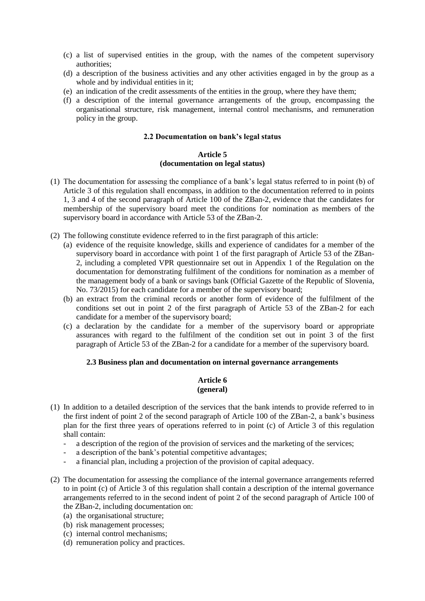- (c) a list of supervised entities in the group, with the names of the competent supervisory authorities;
- (d) a description of the business activities and any other activities engaged in by the group as a whole and by individual entities in it;
- (e) an indication of the credit assessments of the entities in the group, where they have them;
- (f) a description of the internal governance arrangements of the group, encompassing the organisational structure, risk management, internal control mechanisms, and remuneration policy in the group.

#### **2.2 Documentation on bank's legal status**

## **Article 5 (documentation on legal status)**

- (1) The documentation for assessing the compliance of a bank's legal status referred to in point (b) of Article 3 of this regulation shall encompass, in addition to the documentation referred to in points 1, 3 and 4 of the second paragraph of Article 100 of the ZBan-2, evidence that the candidates for membership of the supervisory board meet the conditions for nomination as members of the supervisory board in accordance with Article 53 of the ZBan-2.
- (2) The following constitute evidence referred to in the first paragraph of this article:
	- (a) evidence of the requisite knowledge, skills and experience of candidates for a member of the supervisory board in accordance with point 1 of the first paragraph of Article 53 of the ZBan-2, including a completed VPR questionnaire set out in Appendix 1 of the Regulation on the documentation for demonstrating fulfilment of the conditions for nomination as a member of the management body of a bank or savings bank (Official Gazette of the Republic of Slovenia, No. 73/2015) for each candidate for a member of the supervisory board;
	- (b) an extract from the criminal records or another form of evidence of the fulfilment of the conditions set out in point 2 of the first paragraph of Article 53 of the ZBan-2 for each candidate for a member of the supervisory board;
	- (c) a declaration by the candidate for a member of the supervisory board or appropriate assurances with regard to the fulfilment of the condition set out in point 3 of the first paragraph of Article 53 of the ZBan-2 for a candidate for a member of the supervisory board.

### **2.3 Business plan and documentation on internal governance arrangements**

#### **Article 6 (general)**

- (1) In addition to a detailed description of the services that the bank intends to provide referred to in the first indent of point 2 of the second paragraph of Article 100 of the ZBan-2, a bank's business plan for the first three years of operations referred to in point (c) of Article 3 of this regulation shall contain:
	- a description of the region of the provision of services and the marketing of the services;
	- a description of the bank's potential competitive advantages;
	- a financial plan, including a projection of the provision of capital adequacy.
- (2) The documentation for assessing the compliance of the internal governance arrangements referred to in point (c) of Article 3 of this regulation shall contain a description of the internal governance arrangements referred to in the second indent of point 2 of the second paragraph of Article 100 of the ZBan-2, including documentation on:
	- (a) the organisational structure;
	- (b) risk management processes;
	- (c) internal control mechanisms;
	- (d) remuneration policy and practices.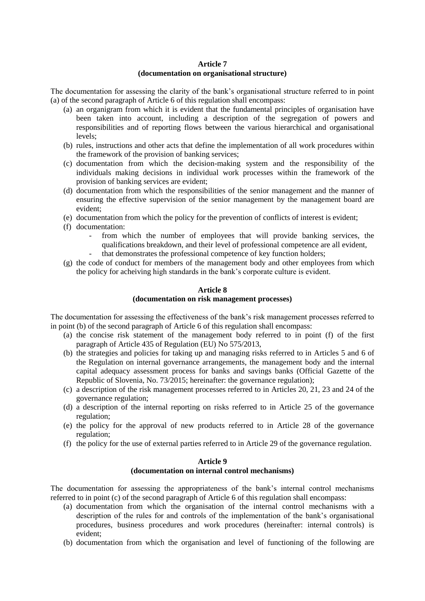# **Article 7 (documentation on organisational structure)**

The documentation for assessing the clarity of the bank's organisational structure referred to in point (a) of the second paragraph of Article 6 of this regulation shall encompass:

- (a) an organigram from which it is evident that the fundamental principles of organisation have been taken into account, including a description of the segregation of powers and responsibilities and of reporting flows between the various hierarchical and organisational levels;
- (b) rules, instructions and other acts that define the implementation of all work procedures within the framework of the provision of banking services;
- (c) documentation from which the decision-making system and the responsibility of the individuals making decisions in individual work processes within the framework of the provision of banking services are evident;
- (d) documentation from which the responsibilities of the senior management and the manner of ensuring the effective supervision of the senior management by the management board are evident;
- (e) documentation from which the policy for the prevention of conflicts of interest is evident;
- (f) documentation:
	- from which the number of employees that will provide banking services, the qualifications breakdown, and their level of professional competence are all evident,
	- that demonstrates the professional competence of key function holders;
- (g) the code of conduct for members of the management body and other employees from which the policy for acheiving high standards in the bank's corporate culture is evident.

## **Article 8 (documentation on risk management processes)**

The documentation for assessing the effectiveness of the bank's risk management processes referred to in point (b) of the second paragraph of Article 6 of this regulation shall encompass:

- (a) the concise risk statement of the management body referred to in point (f) of the first paragraph of Article 435 of Regulation (EU) No 575/2013,
- (b) the strategies and policies for taking up and managing risks referred to in Articles 5 and 6 of the Regulation on internal governance arrangements, the management body and the internal capital adequacy assessment process for banks and savings banks (Official Gazette of the Republic of Slovenia, No. 73/2015; hereinafter: the governance regulation);
- (c) a description of the risk management processes referred to in Articles 20, 21, 23 and 24 of the governance regulation;
- (d) a description of the internal reporting on risks referred to in Article 25 of the governance regulation;
- (e) the policy for the approval of new products referred to in Article 28 of the governance regulation;
- (f) the policy for the use of external parties referred to in Article 29 of the governance regulation.

### **Article 9 (documentation on internal control mechanisms)**

The documentation for assessing the appropriateness of the bank's internal control mechanisms referred to in point (c) of the second paragraph of Article 6 of this regulation shall encompass:

- (a) documentation from which the organisation of the internal control mechanisms with a description of the rules for and controls of the implementation of the bank's organisational procedures, business procedures and work procedures (hereinafter: internal controls) is evident;
- (b) documentation from which the organisation and level of functioning of the following are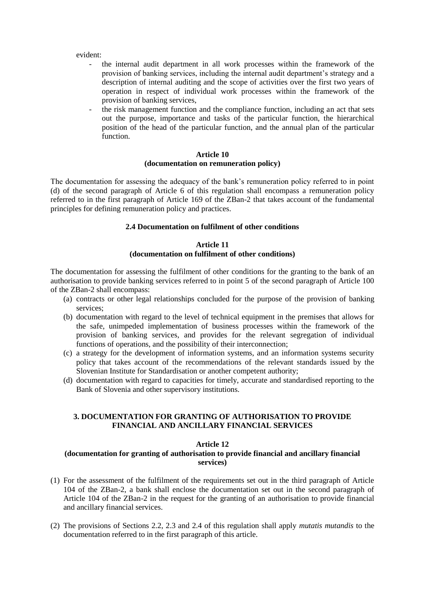evident:

- the internal audit department in all work processes within the framework of the provision of banking services, including the internal audit department's strategy and a description of internal auditing and the scope of activities over the first two years of operation in respect of individual work processes within the framework of the provision of banking services,
- the risk management function and the compliance function, including an act that sets out the purpose, importance and tasks of the particular function, the hierarchical position of the head of the particular function, and the annual plan of the particular function.

## **Article 10 (documentation on remuneration policy)**

The documentation for assessing the adequacy of the bank's remuneration policy referred to in point (d) of the second paragraph of Article 6 of this regulation shall encompass a remuneration policy referred to in the first paragraph of Article 169 of the ZBan-2 that takes account of the fundamental principles for defining remuneration policy and practices.

### **2.4 Documentation on fulfilment of other conditions**

#### **Article 11 (documentation on fulfilment of other conditions)**

The documentation for assessing the fulfilment of other conditions for the granting to the bank of an authorisation to provide banking services referred to in point 5 of the second paragraph of Article 100 of the ZBan-2 shall encompass:

- (a) contracts or other legal relationships concluded for the purpose of the provision of banking services;
- (b) documentation with regard to the level of technical equipment in the premises that allows for the safe, unimpeded implementation of business processes within the framework of the provision of banking services, and provides for the relevant segregation of individual functions of operations, and the possibility of their interconnection;
- (c) a strategy for the development of information systems, and an information systems security policy that takes account of the recommendations of the relevant standards issued by the Slovenian Institute for Standardisation or another competent authority;
- (d) documentation with regard to capacities for timely, accurate and standardised reporting to the Bank of Slovenia and other supervisory institutions.

## **3. DOCUMENTATION FOR GRANTING OF AUTHORISATION TO PROVIDE FINANCIAL AND ANCILLARY FINANCIAL SERVICES**

#### **Article 12**

### **(documentation for granting of authorisation to provide financial and ancillary financial services)**

- (1) For the assessment of the fulfilment of the requirements set out in the third paragraph of Article 104 of the ZBan-2, a bank shall enclose the documentation set out in the second paragraph of Article 104 of the ZBan-2 in the request for the granting of an authorisation to provide financial and ancillary financial services.
- (2) The provisions of Sections 2.2, 2.3 and 2.4 of this regulation shall apply *mutatis mutandis* to the documentation referred to in the first paragraph of this article.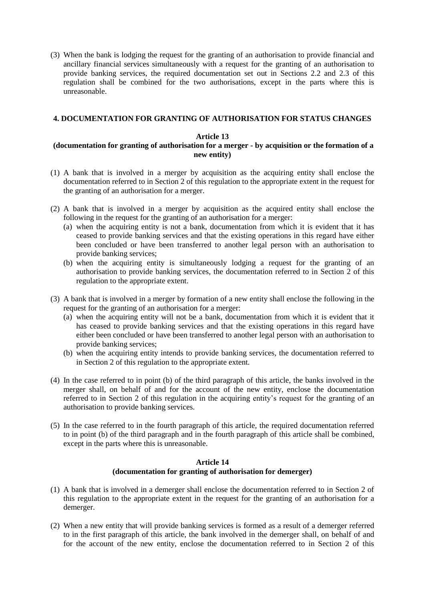(3) When the bank is lodging the request for the granting of an authorisation to provide financial and ancillary financial services simultaneously with a request for the granting of an authorisation to provide banking services, the required documentation set out in Sections 2.2 and 2.3 of this regulation shall be combined for the two authorisations, except in the parts where this is unreasonable.

### **4. DOCUMENTATION FOR GRANTING OF AUTHORISATION FOR STATUS CHANGES**

#### **Article 13**

## **(documentation for granting of authorisation for a merger - by acquisition or the formation of a new entity)**

- (1) A bank that is involved in a merger by acquisition as the acquiring entity shall enclose the documentation referred to in Section 2 of this regulation to the appropriate extent in the request for the granting of an authorisation for a merger.
- (2) A bank that is involved in a merger by acquisition as the acquired entity shall enclose the following in the request for the granting of an authorisation for a merger:
	- (a) when the acquiring entity is not a bank, documentation from which it is evident that it has ceased to provide banking services and that the existing operations in this regard have either been concluded or have been transferred to another legal person with an authorisation to provide banking services;
	- (b) when the acquiring entity is simultaneously lodging a request for the granting of an authorisation to provide banking services, the documentation referred to in Section 2 of this regulation to the appropriate extent.
- (3) A bank that is involved in a merger by formation of a new entity shall enclose the following in the request for the granting of an authorisation for a merger:
	- (a) when the acquiring entity will not be a bank, documentation from which it is evident that it has ceased to provide banking services and that the existing operations in this regard have either been concluded or have been transferred to another legal person with an authorisation to provide banking services;
	- (b) when the acquiring entity intends to provide banking services, the documentation referred to in Section 2 of this regulation to the appropriate extent.
- (4) In the case referred to in point (b) of the third paragraph of this article, the banks involved in the merger shall, on behalf of and for the account of the new entity, enclose the documentation referred to in Section 2 of this regulation in the acquiring entity's request for the granting of an authorisation to provide banking services.
- (5) In the case referred to in the fourth paragraph of this article, the required documentation referred to in point (b) of the third paragraph and in the fourth paragraph of this article shall be combined, except in the parts where this is unreasonable.

### **Article 14 (documentation for granting of authorisation for demerger)**

- (1) A bank that is involved in a demerger shall enclose the documentation referred to in Section 2 of this regulation to the appropriate extent in the request for the granting of an authorisation for a demerger.
- (2) When a new entity that will provide banking services is formed as a result of a demerger referred to in the first paragraph of this article, the bank involved in the demerger shall, on behalf of and for the account of the new entity, enclose the documentation referred to in Section 2 of this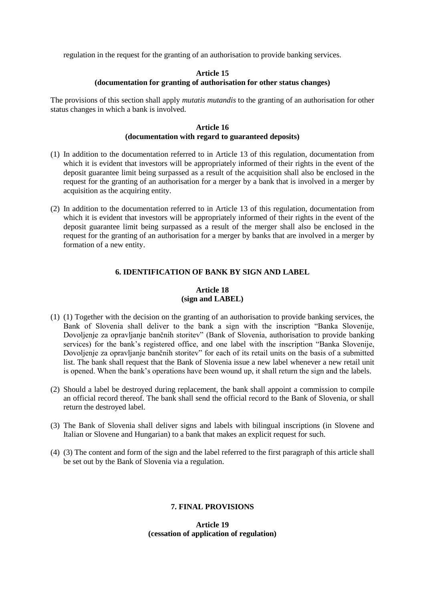regulation in the request for the granting of an authorisation to provide banking services.

### **Article 15 (documentation for granting of authorisation for other status changes)**

The provisions of this section shall apply *mutatis mutandis* to the granting of an authorisation for other status changes in which a bank is involved.

#### **Article 16 (documentation with regard to guaranteed deposits)**

- (1) In addition to the documentation referred to in Article 13 of this regulation, documentation from which it is evident that investors will be appropriately informed of their rights in the event of the deposit guarantee limit being surpassed as a result of the acquisition shall also be enclosed in the request for the granting of an authorisation for a merger by a bank that is involved in a merger by acquisition as the acquiring entity.
- (2) In addition to the documentation referred to in Article 13 of this regulation, documentation from which it is evident that investors will be appropriately informed of their rights in the event of the deposit guarantee limit being surpassed as a result of the merger shall also be enclosed in the request for the granting of an authorisation for a merger by banks that are involved in a merger by formation of a new entity.

### **6. IDENTIFICATION OF BANK BY SIGN AND LABEL**

## **Article 18 (sign and LABEL)**

- (1) (1) Together with the decision on the granting of an authorisation to provide banking services, the Bank of Slovenia shall deliver to the bank a sign with the inscription "Banka Slovenije, Dovoljenje za opravljanje bančnih storitev" (Bank of Slovenia, authorisation to provide banking services) for the bank's registered office, and one label with the inscription "Banka Slovenije, Dovoljenje za opravljanje bančnih storitev" for each of its retail units on the basis of a submitted list. The bank shall request that the Bank of Slovenia issue a new label whenever a new retail unit is opened. When the bank's operations have been wound up, it shall return the sign and the labels.
- (2) Should a label be destroyed during replacement, the bank shall appoint a commission to compile an official record thereof. The bank shall send the official record to the Bank of Slovenia, or shall return the destroyed label.
- (3) The Bank of Slovenia shall deliver signs and labels with bilingual inscriptions (in Slovene and Italian or Slovene and Hungarian) to a bank that makes an explicit request for such.
- (4) (3) The content and form of the sign and the label referred to the first paragraph of this article shall be set out by the Bank of Slovenia via a regulation.

# **7. FINAL PROVISIONS**

### **Article 19 (cessation of application of regulation)**